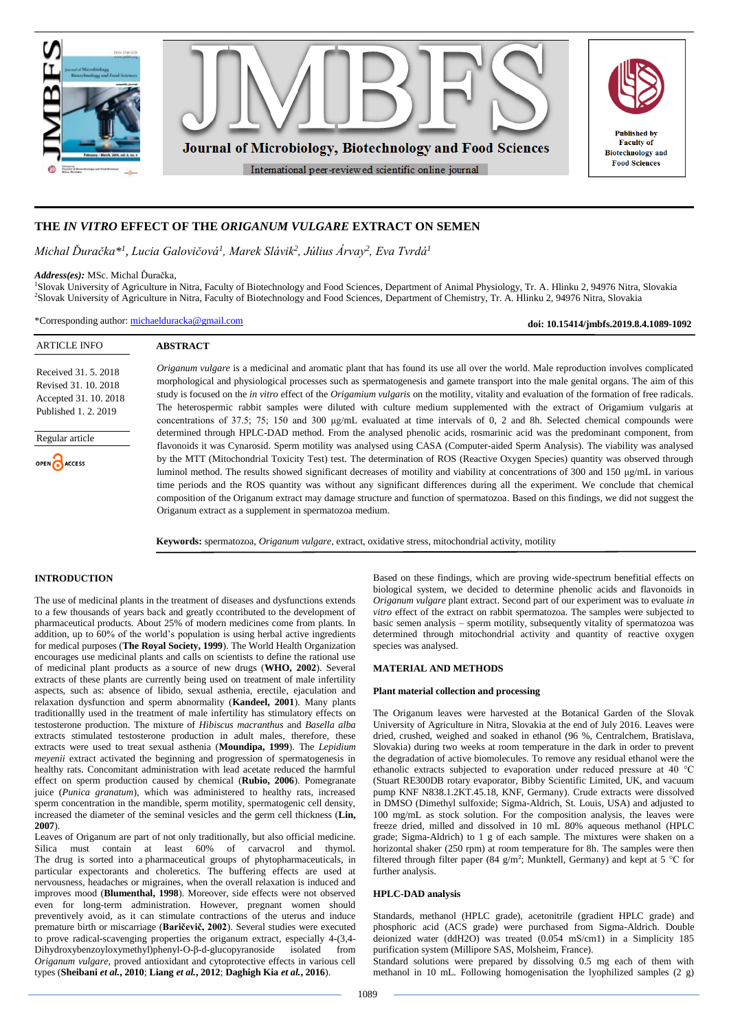

# **THE** *IN VITRO* **EFFECT OF THE** *ORIGANUM VULGARE* **EXTRACT ON SEMEN**

*Michal Ďuračka\* 1 , Lucia Galovičová<sup>1</sup> , Marek Slávik<sup>2</sup> , Július Árvay<sup>2</sup> , Eva Tvrdá<sup>1</sup>*

### *Address(es):* MSc. Michal Ďuračka,

<sup>1</sup>Slovak University of Agriculture in Nitra, Faculty of Biotechnology and Food Sciences, Department of Animal Physiology, Tr. A. Hlinku 2, 94976 Nitra, Slovakia <sup>2</sup>Slovak University of Agriculture in Nitra, Faculty of Biotechnology and Food Sciences, Department of Chemistry, Tr. A. Hlinku 2, 94976 Nitra, Slovakia

\*Corresponding author: [michaelduracka@gmail.com](mailto:michaelduracka@gmail.com)

**doi: 10.15414/jmbfs.2019.8.4.1089-1092**

| <b>ARTICLE INFO</b>                                                                           | <b>ABSTRACT</b>                                                                                                                                                                                                                                                                                                                                                                                                                                                                                                                                                                                                                                                                                                                                                                                                                                                              |
|-----------------------------------------------------------------------------------------------|------------------------------------------------------------------------------------------------------------------------------------------------------------------------------------------------------------------------------------------------------------------------------------------------------------------------------------------------------------------------------------------------------------------------------------------------------------------------------------------------------------------------------------------------------------------------------------------------------------------------------------------------------------------------------------------------------------------------------------------------------------------------------------------------------------------------------------------------------------------------------|
| Received 31, 5, 2018<br>Revised 31, 10, 2018<br>Accepted 31, 10, 2018<br>Published 1, 2, 2019 | <i>Origanum vulgare</i> is a medicinal and aromatic plant that has found its use all over the world. Male reproduction involves complicated<br>morphological and physiological processes such as spermatogenesis and gamete transport into the male genital organs. The aim of this<br>study is focused on the <i>in vitro</i> effect of the <i>Origamium vulgaris</i> on the motility, vitality and evaluation of the formation of free radicals.<br>The heterospermic rabbit samples were diluted with culture medium supplemented with the extract of Origamium vulgaris at<br>concentrations of 37.5; 75; 150 and 300 µg/mL evaluated at time intervals of 0, 2 and 8h. Selected chemical compounds were                                                                                                                                                                 |
| Regular article<br>OPEN CACCESS                                                               | determined through HPLC-DAD method. From the analysed phenolic acids, rosmarinic acid was the predominant component, from<br>flavonoids it was Cynarosid. Sperm motility was analysed using CASA (Computer-aided Sperm Analysis). The viability was analysed<br>by the MTT (Mitochondrial Toxicity Test) test. The determination of ROS (Reactive Oxygen Species) quantity was observed through<br>luminol method. The results showed significant decreases of motility and viability at concentrations of 300 and 150 µg/mL in various<br>time periods and the ROS quantity was without any significant differences during all the experiment. We conclude that chemical<br>composition of the Origanum extract may damage structure and function of spermatozoa. Based on this findings, we did not suggest the<br>Origanum extract as a supplement in spermatozoa medium. |

**Keywords:** spermatozoa, *Origanum vulgare*, extract, oxidative stress, mitochondrial activity, motility

# **INTRODUCTION**

The use of medicinal plants in the treatment of diseases and dysfunctions extends to a few thousands of years back and greatly ccontributed to the development of pharmaceutical products. About 25% of modern medicines come from plants. In addition, up to 60% of the world's population is using herbal active ingredients for medical purposes (**The Royal Society, 1999**). The World Health Organization encourages use medicinal plants and calls on scientists to define the rational use of medicinal plant products as a source of new drugs (**WHO, 2002**). Several extracts of these plants are currently being used on treatment of male infertility aspects, such as: absence of libido, sexual asthenia, erectile, ejaculation and relaxation dysfunction and sperm abnormality (**Kandeel, 2001**). Many plants traditionallly used in the treatment of male infertility has stimulatory effects on testosterone production. The mixture of *Hibiscus macranthus* and *Basella alba*  extracts stimulated testosterone production in adult males, therefore, these extracts were used to treat sexual asthenia (**Moundipa, 1999**). The *Lepidium meyenii* extract activated the beginning and progression of spermatogenesis in healthy rats. Concomitant administration with lead acetate reduced the harmful effect on sperm production caused by chemical (**Rubio, 2006**). Pomegranate juice (*Punica granatum*), which was administered to healthy rats, increased sperm concentration in the mandible, sperm motility, spermatogenic cell density, increased the diameter of the seminal vesicles and the germ cell thickness (**Lin, 2007**).

Leaves of Origanum are part of not only traditionally, but also official medicine. Silica must contain at least 60% of carvacrol and thymol. The drug is sorted into a pharmaceutical groups of phytopharmaceuticals, in particular expectorants and choleretics. The buffering effects are used at nervousness, headaches or migraines, when the overall relaxation is induced and improves mood (**Blumenthal, 1998**). Moreover, side effects were not observed even for long-term administration. However, pregnant women should preventively avoid, as it can stimulate contractions of the uterus and induce premature birth or miscarriage (**Baričevič, 2002**). Several studies were executed to prove radical-scavenging properties the origanum extract, especially 4-(3,4- Dihydroxybenzoyloxymethyl)phenyl-O-β-d-glucopyranoside isolated from *Origanum vulgare*, proved antioxidant and cytoprotective effects in various cell types (**Sheibani** *et al.***, 2010**; **Liang** *et al.***, 2012**; **Daghigh Kia** *et al.***, 2016**).

Based on these findings, which are proving wide-spectrum benefitial effects on biological system, we decided to determine phenolic acids and flavonoids in *Origanum vulgare* plant extract. Second part of our experiment was to evaluate *in vitro* effect of the extract on rabbit spermatozoa. The samples were subjected to basic semen analysis – sperm motility, subsequently vitality of spermatozoa was determined through mitochondrial activity and quantity of reactive oxygen species was analysed.

## **MATERIAL AND METHODS**

## **Plant material collection and processing**

The Origanum leaves were harvested at the Botanical Garden of the Slovak University of Agriculture in Nitra, Slovakia at the end of July 2016. Leaves were dried, crushed, weighed and soaked in ethanol (96 %, Centralchem, Bratislava, Slovakia) during two weeks at room temperature in the dark in order to prevent the degradation of active biomolecules. To remove any residual ethanol were the ethanolic extracts subjected to evaporation under reduced pressure at 40 °C (Stuart RE300DB rotary evaporator, Bibby Scientific Limited, UK, and vacuum pump KNF N838.1.2KT.45.18, KNF, Germany). Crude extracts were dissolved in DMSO (Dimethyl sulfoxide; Sigma-Aldrich, St. Louis, USA) and adjusted to 100 mg/mL as stock solution. For the composition analysis, the leaves were freeze dried, milled and dissolved in 10 mL 80% aqueous methanol (HPLC grade; Sigma-Aldrich) to 1 g of each sample. The mixtures were shaken on a horizontal shaker (250 rpm) at room temperature for 8h. The samples were then filtered through filter paper (84 g/m<sup>2</sup>; Munktell, Germany) and kept at 5 °C for further analysis.

## **HPLC-DAD analysis**

Standards, methanol (HPLC grade), acetonitrile (gradient HPLC grade) and phosphoric acid (ACS grade) were purchased from Sigma-Aldrich. Double deionized water (ddH2O) was treated (0.054 mS/cm1) in a Simplicity 185 purification system (Millipore SAS, Molsheim, France).

Standard solutions were prepared by dissolving 0.5 mg each of them with methanol in 10 mL. Following homogenisation the lyophilized samples (2 g)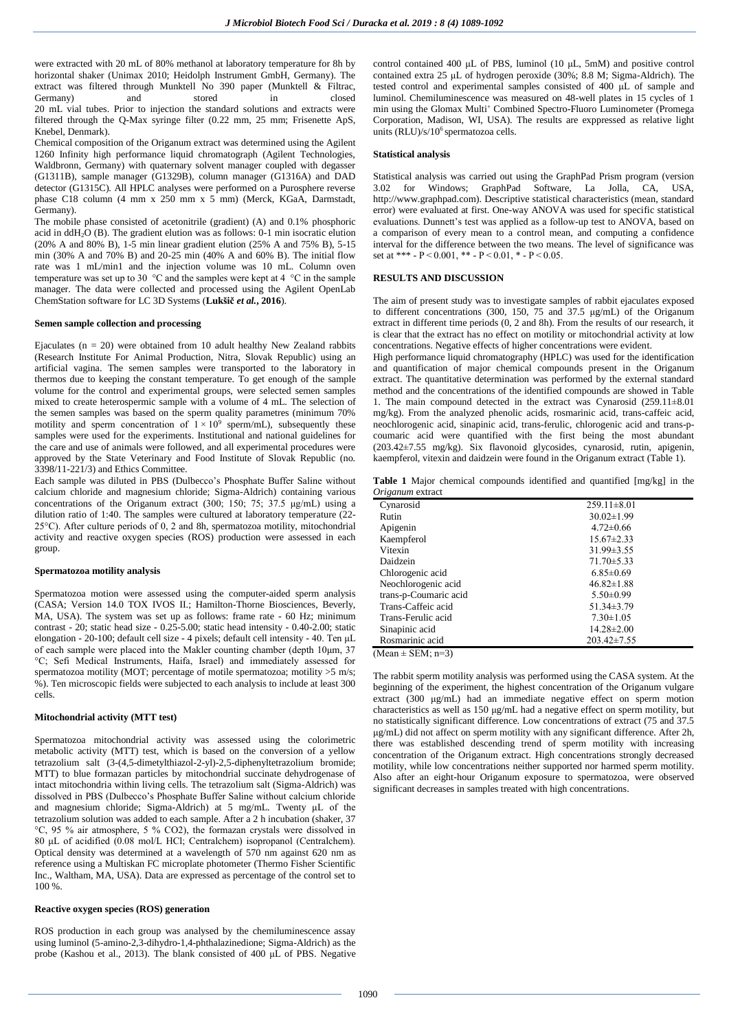were extracted with 20 mL of 80% methanol at laboratory temperature for 8h by horizontal shaker (Unimax 2010; Heidolph Instrument GmbH, Germany). The extract was filtered through Munktell No 390 paper (Munktell & Filtrac, Germany) and stored in closed 20 mL vial tubes. Prior to injection the standard solutions and extracts were filtered through the Q-Max syringe filter (0.22 mm, 25 mm; Frisenette ApS, Knebel, Denmark).

Chemical composition of the Origanum extract was determined using the Agilent 1260 Infinity high performance liquid chromatograph (Agilent Technologies, Waldbronn, Germany) with quaternary solvent manager coupled with degasser (G1311B), sample manager (G1329B), column manager (G1316A) and DAD detector (G1315C). All HPLC analyses were performed on a Purosphere reverse phase C18 column (4 mm x 250 mm x 5 mm) (Merck, KGaA, Darmstadt, Germany).

The mobile phase consisted of acetonitrile (gradient) (A) and 0.1% phosphoric acid in  $ddH<sub>2</sub>O$  (B). The gradient elution was as follows: 0-1 min isocratic elution (20% A and 80% B), 1-5 min linear gradient elution (25% A and 75% B), 5-15 min (30% A and 70% B) and 20-25 min (40% A and 60% B). The initial flow rate was 1 mL/min1 and the injection volume was 10 mL. Column oven temperature was set up to 30 °C and the samples were kept at 4 °C in the sample manager. The data were collected and processed using the Agilent OpenLab ChemStation software for LC 3D Systems (**Lukšič** *et al.***, 2016**).

## **Semen sample collection and processing**

Ejaculates ( $n = 20$ ) were obtained from 10 adult healthy New Zealand rabbits (Research Institute For Animal Production, Nitra, Slovak Republic) using an artificial vagina. The semen samples were transported to the laboratory in thermos due to keeping the constant temperature. To get enough of the sample volume for the control and experimental groups, were selected semen samples mixed to create heterospermic sample with a volume of 4 mL. The selection of the semen samples was based on the sperm quality parametres (minimum 70% motility and sperm concentration of  $1 \times 10^9$  sperm/mL), subsequently these samples were used for the experiments. Institutional and national guidelines for the care and use of animals were followed, and all experimental procedures were approved by the State Veterinary and Food Institute of Slovak Republic (no. 3398/11-221/3) and Ethics Committee.

Each sample was diluted in PBS (Dulbecco's Phosphate Buffer Saline without calcium chloride and magnesium chloride; Sigma-Aldrich) containing various concentrations of the Origanum extract (300; 150; 75; 37.5 μg/mL) using a dilution ratio of 1:40. The samples were cultured at laboratory temperature (22- 25°C). After culture periods of 0, 2 and 8h, spermatozoa motility, mitochondrial activity and reactive oxygen species (ROS) production were assessed in each group.

## **Spermatozoa motility analysis**

Spermatozoa motion were assessed using the computer-aided sperm analysis (CASA; Version 14.0 TOX IVOS II.; Hamilton-Thorne Biosciences, Beverly, MA, USA). The system was set up as follows: frame rate - 60 Hz; minimum contrast - 20; static head size - 0.25-5.00; static head intensity - 0.40-2.00; static elongation - 20-100; default cell size - 4 pixels; default cell intensity - 40. Ten μL of each sample were placed into the Makler counting chamber (depth 10μm, 37 °C; Sefi Medical Instruments, Haifa, Israel) and immediately assessed for spermatozoa motility (MOT; percentage of motile spermatozoa; motility >5 m/s; %). Ten microscopic fields were subjected to each analysis to include at least 300 cells.

## **Mitochondrial activity (MTT test)**

Spermatozoa mitochondrial activity was assessed using the colorimetric metabolic activity (MTT) test, which is based on the conversion of a yellow tetrazolium salt (3-(4,5-dimetylthiazol-2-yl)-2,5-diphenyltetrazolium bromide; MTT) to blue formazan particles by mitochondrial succinate dehydrogenase of intact mitochondria within living cells. The tetrazolium salt (Sigma-Aldrich) was dissolved in PBS (Dulbecco's Phosphate Buffer Saline without calcium chloride and magnesium chloride; Sigma-Aldrich) at 5 mg/mL. Twenty μL of the tetrazolium solution was added to each sample. After a 2 h incubation (shaker, 37 °C, 95 % air atmosphere, 5 % CO2), the formazan crystals were dissolved in 80 μL of acidified (0.08 mol/L HCl; Centralchem) isopropanol (Centralchem). Optical density was determined at a wavelength of 570 nm against 620 nm as reference using a Multiskan FC microplate photometer (Thermo Fisher Scientific Inc., Waltham, MA, USA). Data are expressed as percentage of the control set to 100 %.

## **Reactive oxygen species (ROS) generation**

ROS production in each group was analysed by the chemiluminescence assay using luminol (5-amino-2,3-dihydro-1,4-phthalazinedione; Sigma-Aldrich) as the probe (Kashou et al., 2013). The blank consisted of 400 μL of PBS. Negative control contained 400 μL of PBS, luminol (10 μL, 5mM) and positive control contained extra 25 μL of hydrogen peroxide (30%; 8.8 M; Sigma-Aldrich). The tested control and experimental samples consisted of 400 μL of sample and luminol. Chemiluminescence was measured on 48-well plates in 15 cycles of 1 min using the Glomax Multi<sup>+</sup> Combined Spectro-Fluoro Luminometer (Promega Corporation, Madison, WI, USA). The results are exppressed as relative light units (RLU)/s/10<sup>6</sup> spermatozoa cells.

### **Statistical analysis**

Statistical analysis was carried out using the GraphPad Prism program (version 3.02 for Windows; GraphPad Software, La Jolla, CA, USA, http://www.graphpad.com). Descriptive statistical characteristics (mean, standard error) were evaluated at first. One-way ANOVA was used for specific statistical evaluations. Dunnett's test was applied as a follow-up test to ANOVA, based on a comparison of every mean to a control mean, and computing a confidence interval for the difference between the two means. The level of significance was set at \*\*\* - P < 0.001, \*\* - P < 0.01, \* - P < 0.05.

# **RESULTS AND DISCUSSION**

The aim of present study was to investigate samples of rabbit ejaculates exposed to different concentrations (300, 150, 75 and 37.5 μg/mL) of the Origanum extract in different time periods (0, 2 and 8h). From the results of our research, it is clear that the extract has no effect on motility or mitochondrial activity at low concentrations. Negative effects of higher concentrations were evident.

High performance liquid chromatography (HPLC) was used for the identification and quantification of major chemical compounds present in the Origanum extract. The quantitative determination was performed by the external standard method and the concentrations of the identified compounds are showed in Table 1. The main compound detected in the extract was Cynarosid  $(259.11 \pm 8.01)$ mg/kg). From the analyzed phenolic acids, rosmarinic acid, trans-caffeic acid, neochlorogenic acid, sinapinic acid, trans-ferulic, chlorogenic acid and trans-pcoumaric acid were quantified with the first being the most abundant (203.42±7.55 mg/kg). Six flavonoid glycosides, cynarosid, rutin, apigenin, kaempferol, vitexin and daidzein were found in the Origanum extract (Table 1).

**Table 1** Major chemical compounds identified and quantified [mg/kg] in the *Origanum* extract

| $\sim$ , $\sim$       |                   |
|-----------------------|-------------------|
| Cynarosid             | $259.11 \pm 8.01$ |
| Rutin                 | $30.02 \pm 1.99$  |
| Apigenin              | $4.72 \pm 0.66$   |
| Kaempferol            | $15.67 \pm 2.33$  |
| Vitexin               | $31.99 \pm 3.55$  |
| Daidzein              | $71.70 \pm 5.33$  |
| Chlorogenic acid      | $6.85 \pm 0.69$   |
| Neochlorogenic acid   | $46.82 \pm 1.88$  |
| trans-p-Coumaric acid | $5.50 \pm 0.99$   |
| Trans-Caffeic acid    | $51.34 \pm 3.79$  |
| Trans-Ferulic acid    | $7.30 \pm 1.05$   |
| Sinapinic acid        | $14.28 \pm 2.00$  |
| Rosmarinic acid       | $203.42 \pm 7.55$ |
|                       |                   |

 $(Mean \pm SEM: n=3)$ 

The rabbit sperm motility analysis was performed using the CASA system. At the beginning of the experiment, the highest concentration of the Origanum vulgare extract (300 μg/mL) had an immediate negative effect on sperm motion characteristics as well as 150 μg/mL had a negative effect on sperm motility, but no statistically significant difference. Low concentrations of extract (75 and 37.5 μg/mL) did not affect on sperm motility with any significant difference. After 2h, there was established descending trend of sperm motility with increasing concentration of the Origanum extract. High concentrations strongly decreased motility, while low concentrations neither supported nor harmed sperm motility. Also after an eight-hour Origanum exposure to spermatozoa, were observed significant decreases in samples treated with high concentrations.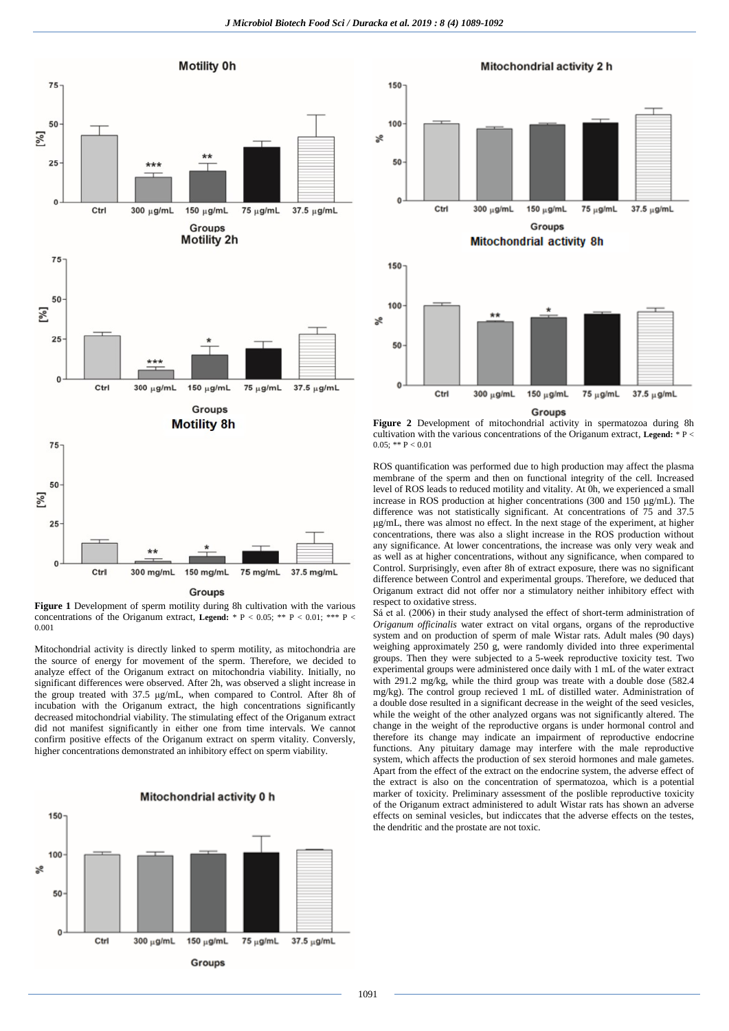

**Figure 1** Development of sperm motility during 8h cultivation with the various concentrations of the Origanum extract, **Legend:** \* P < 0.05; \*\* P < 0.01; \*\*\* P < 0.001

Mitochondrial activity is directly linked to sperm motility, as mitochondria are the source of energy for movement of the sperm. Therefore, we decided to analyze effect of the Origanum extract on mitochondria viability. Initially, no significant differences were observed. After 2h, was observed a slight increase in the group treated with 37.5 μg/mL, when compared to Control. After 8h of incubation with the Origanum extract, the high concentrations significantly decreased mitochondrial viability. The stimulating effect of the Origanum extract did not manifest significantly in either one from time intervals. We cannot confirm positive effects of the Origanum extract on sperm vitality. Conversly, higher concentrations demonstrated an inhibitory effect on sperm viability.





Figure 2 Development of mitochondrial activity in spermatozoa during 8h cultivation with the various concentrations of the Origanum extract, **Legend:** \* P <  $0.05$ ; \*\* P < 0.01

ROS quantification was performed due to high production may affect the plasma membrane of the sperm and then on functional integrity of the cell. Increased level of ROS leads to reduced motility and vitality. At 0h, we experienced a small increase in ROS production at higher concentrations (300 and 150 μg/mL). The difference was not statistically significant. At concentrations of 75 and 37.5 μg/mL, there was almost no effect. In the next stage of the experiment, at higher concentrations, there was also a slight increase in the ROS production without any significance. At lower concentrations, the increase was only very weak and as well as at higher concentrations, without any significance, when compared to Control. Surprisingly, even after 8h of extract exposure, there was no significant difference between Control and experimental groups. Therefore, we deduced that Origanum extract did not offer nor a stimulatory neither inhibitory effect with respect to oxidative stress.

Sá et al. (2006) in their study analysed the effect of short-term administration of *Origanum officinalis* water extract on vital organs, organs of the reproductive system and on production of sperm of male Wistar rats. Adult males (90 days) weighing approximately 250 g, were randomly divided into three experimental groups. Then they were subjected to a 5-week reproductive toxicity test. Two experimental groups were administered once daily with 1 mL of the water extract with 291.2 mg/kg, while the third group was treate with a double dose (582.4) mg/kg). The control group recieved 1 mL of distilled water. Administration of a double dose resulted in a significant decrease in the weight of the seed vesicles, while the weight of the other analyzed organs was not significantly altered. The change in the weight of the reproductive organs is under hormonal control and therefore its change may indicate an impairment of reproductive endocrine functions. Any pituitary damage may interfere with the male reproductive system, which affects the production of sex steroid hormones and male gametes. Apart from the effect of the extract on the endocrine system, the adverse effect of the extract is also on the concentration of spermatozoa, which is a potential marker of toxicity. Preliminary assessment of the poslible reproductive toxicity of the Origanum extract administered to adult Wistar rats has shown an adverse effects on seminal vesicles, but indiccates that the adverse effects on the testes, the dendritic and the prostate are not toxic.